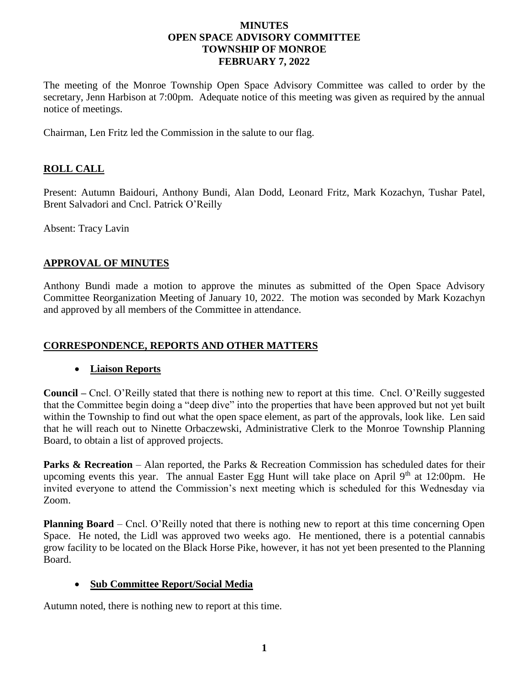#### **MINUTES OPEN SPACE ADVISORY COMMITTEE TOWNSHIP OF MONROE FEBRUARY 7, 2022**

The meeting of the Monroe Township Open Space Advisory Committee was called to order by the secretary, Jenn Harbison at 7:00pm. Adequate notice of this meeting was given as required by the annual notice of meetings.

Chairman, Len Fritz led the Commission in the salute to our flag.

# **ROLL CALL**

Present: Autumn Baidouri, Anthony Bundi, Alan Dodd, Leonard Fritz, Mark Kozachyn, Tushar Patel, Brent Salvadori and Cncl. Patrick O'Reilly

Absent: Tracy Lavin

# **APPROVAL OF MINUTES**

Anthony Bundi made a motion to approve the minutes as submitted of the Open Space Advisory Committee Reorganization Meeting of January 10, 2022. The motion was seconded by Mark Kozachyn and approved by all members of the Committee in attendance.

# **CORRESPONDENCE, REPORTS AND OTHER MATTERS**

# • **Liaison Reports**

**Council –** Cncl. O'Reilly stated that there is nothing new to report at this time. Cncl. O'Reilly suggested that the Committee begin doing a "deep dive" into the properties that have been approved but not yet built within the Township to find out what the open space element, as part of the approvals, look like. Len said that he will reach out to Ninette Orbaczewski, Administrative Clerk to the Monroe Township Planning Board, to obtain a list of approved projects.

**Parks & Recreation** – Alan reported, the Parks & Recreation Commission has scheduled dates for their upcoming events this year. The annual Easter Egg Hunt will take place on April  $9<sup>th</sup>$  at 12:00pm. He invited everyone to attend the Commission's next meeting which is scheduled for this Wednesday via Zoom.

**Planning Board** – Cncl. O'Reilly noted that there is nothing new to report at this time concerning Open Space. He noted, the Lidl was approved two weeks ago. He mentioned, there is a potential cannabis grow facility to be located on the Black Horse Pike, however, it has not yet been presented to the Planning Board.

# • **Sub Committee Report/Social Media**

Autumn noted, there is nothing new to report at this time.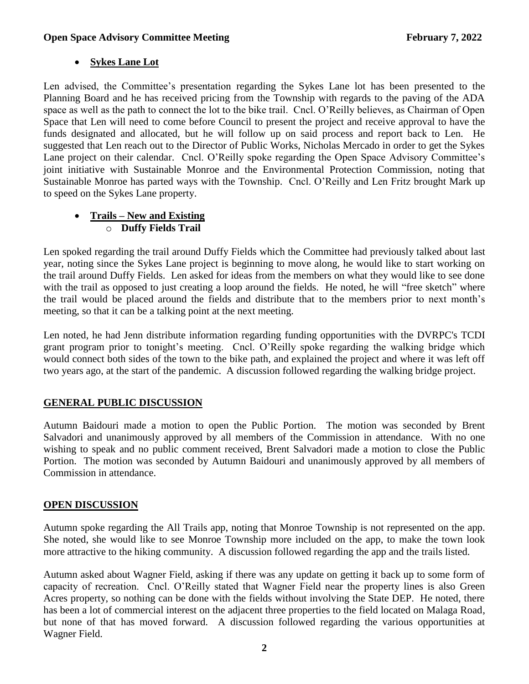### **Open Space Advisory Committee Meeting February 7, 2022**

# • **Sykes Lane Lot**

Len advised, the Committee's presentation regarding the Sykes Lane lot has been presented to the Planning Board and he has received pricing from the Township with regards to the paving of the ADA space as well as the path to connect the lot to the bike trail. Cncl. O'Reilly believes, as Chairman of Open Space that Len will need to come before Council to present the project and receive approval to have the funds designated and allocated, but he will follow up on said process and report back to Len. He suggested that Len reach out to the Director of Public Works, Nicholas Mercado in order to get the Sykes Lane project on their calendar. Cncl. O'Reilly spoke regarding the Open Space Advisory Committee's joint initiative with Sustainable Monroe and the Environmental Protection Commission, noting that Sustainable Monroe has parted ways with the Township. Cncl. O'Reilly and Len Fritz brought Mark up to speed on the Sykes Lane property.

### • **Trails – New and Existing** o **Duffy Fields Trail**

Len spoked regarding the trail around Duffy Fields which the Committee had previously talked about last year, noting since the Sykes Lane project is beginning to move along, he would like to start working on the trail around Duffy Fields. Len asked for ideas from the members on what they would like to see done with the trail as opposed to just creating a loop around the fields. He noted, he will "free sketch" where the trail would be placed around the fields and distribute that to the members prior to next month's meeting, so that it can be a talking point at the next meeting.

Len noted, he had Jenn distribute information regarding funding opportunities with the DVRPC's TCDI grant program prior to tonight's meeting. Cncl. O'Reilly spoke regarding the walking bridge which would connect both sides of the town to the bike path, and explained the project and where it was left off two years ago, at the start of the pandemic. A discussion followed regarding the walking bridge project.

# **GENERAL PUBLIC DISCUSSION**

Autumn Baidouri made a motion to open the Public Portion. The motion was seconded by Brent Salvadori and unanimously approved by all members of the Commission in attendance. With no one wishing to speak and no public comment received, Brent Salvadori made a motion to close the Public Portion. The motion was seconded by Autumn Baidouri and unanimously approved by all members of Commission in attendance.

# **OPEN DISCUSSION**

Autumn spoke regarding the All Trails app, noting that Monroe Township is not represented on the app. She noted, she would like to see Monroe Township more included on the app, to make the town look more attractive to the hiking community. A discussion followed regarding the app and the trails listed.

Autumn asked about Wagner Field, asking if there was any update on getting it back up to some form of capacity of recreation. Cncl. O'Reilly stated that Wagner Field near the property lines is also Green Acres property, so nothing can be done with the fields without involving the State DEP. He noted, there has been a lot of commercial interest on the adjacent three properties to the field located on Malaga Road, but none of that has moved forward. A discussion followed regarding the various opportunities at Wagner Field.